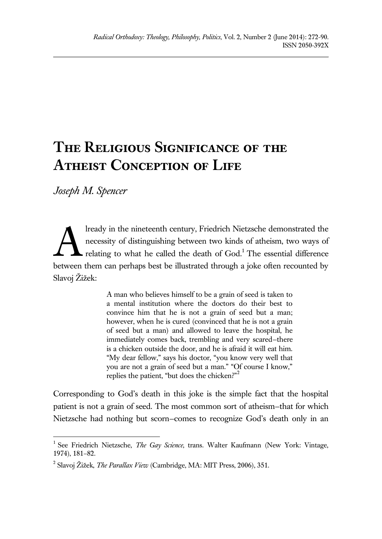## **The Religious Significance of the Atheist Conception of Life**

*Joseph M. Spencer*

 $\overline{a}$ 

lready in the nineteenth century, Friedrich Nietzsche demonstrated the necessity of distinguishing between two kinds of atheism, two ways of relating to what he called the death of  $God<sup>1</sup>$ . The essential difference between them can perhaps best be illustrated through a joke often recounted by Slavoj Žižek: A

> A man who believes himself to be a grain of seed is taken to a mental institution where the doctors do their best to convince him that he is not a grain of seed but a man; however, when he is cured (convinced that he is not a grain of seed but a man) and allowed to leave the hospital, he immediately comes back, trembling and very scared—there is a chicken outside the door, and he is afraid it will eat him. "My dear fellow," says his doctor, "you know very well that you are not a grain of seed but a man." "Of course I know," replies the patient, "but does the chicken?"<sup>2</sup>

Corresponding to God's death in this joke is the simple fact that the hospital patient is not a grain of seed. The most common sort of atheism—that for which Nietzsche had nothing but scorn—comes to recognize God's death only in an

<sup>&</sup>lt;sup>1</sup> See Friedrich Nietzsche, *The Gay Science*, trans. Walter Kaufmann (New York: Vintage, 1974), 181–82.

<sup>2</sup> Slavoj Žižek, *The Parallax View* (Cambridge, MA: MIT Press, 2006), 351.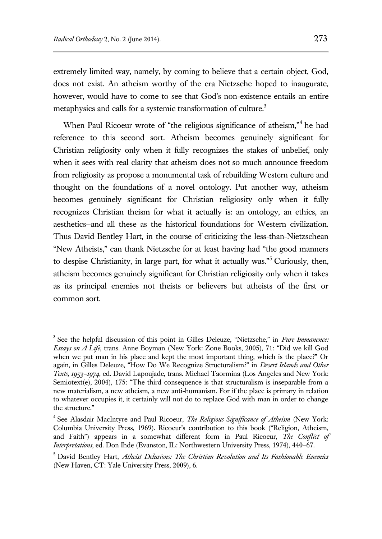$\overline{a}$ 

extremely limited way, namely, by coming to believe that a certain object, God, does not exist. An atheism worthy of the era Nietzsche hoped to inaugurate, however, would have to come to see that God's non-existence entails an entire metaphysics and calls for a systemic transformation of culture.<sup>3</sup>

When Paul Ricoeur wrote of "the religious significance of atheism,"<sup>4</sup> he had reference to this second sort. Atheism becomes genuinely significant for Christian religiosity only when it fully recognizes the stakes of unbelief, only when it sees with real clarity that atheism does not so much announce freedom from religiosity as propose a monumental task of rebuilding Western culture and thought on the foundations of a novel ontology. Put another way, atheism becomes genuinely significant for Christian religiosity only when it fully recognizes Christian theism for what it actually is: an ontology, an ethics, an aesthetics—and all these as the historical foundations for Western civilization. Thus David Bentley Hart, in the course of criticizing the less-than-Nietzschean "New Atheists," can thank Nietzsche for at least having had "the good manners to despise Christianity, in large part, for what it actually was."<sup>5</sup> Curiously, then, atheism becomes genuinely significant for Christian religiosity only when it takes as its principal enemies not theists or believers but atheists of the first or common sort.

<sup>3</sup> See the helpful discussion of this point in Gilles Deleuze, "Nietzsche," in *Pure Immanence: Essays on A Life*, trans. Anne Boyman (New York: Zone Books, 2005), 71: "Did we kill God when we put man in his place and kept the most important thing, which is the place?" Or again, in Gilles Deleuze, "How Do We Recognize Structuralism?" in *Desert Islands and Other Texts, 1953–1974*, ed. David Lapoujade, trans. Michael Taormina (Los Angeles and New York: Semiotext(e),  $2004$ ),  $175$ : "The third consequence is that structuralism is inseparable from a new materialism, a new atheism, a new anti-humanism. For if the place is primary in relation to whatever occupies it, it certainly will not do to replace God with man in order to change the structure."

<sup>4</sup> See Alasdair MacIntyre and Paul Ricoeur, *The Religious Significance of Atheism* (New York: Columbia University Press, 1969). Ricoeur's contribution to this book ("Religion, Atheism, and Faith") appears in a somewhat different form in Paul Ricoeur, *The Conflict of Interpretations*, ed. Don Ihde (Evanston, IL: Northwestern University Press, 1974), 440–67.

<sup>5</sup> David Bentley Hart, *Atheist Delusions: The Christian Revolution and Its Fashionable Enemies* (New Haven, CT: Yale University Press, 2009), 6.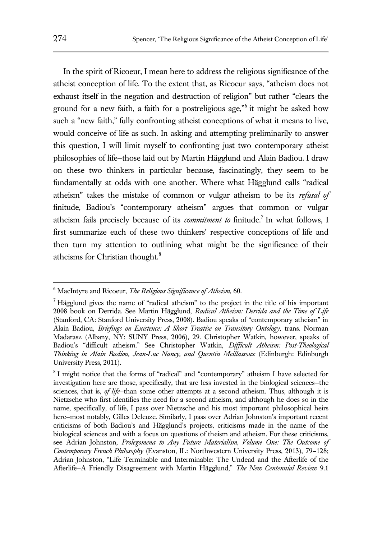In the spirit of Ricoeur, I mean here to address the religious significance of the atheist conception of life. To the extent that, as Ricoeur says, "atheism does not exhaust itself in the negation and destruction of religion" but rather "clears the ground for a new faith, a faith for a postreligious age,"<sup>6</sup> it might be asked how such a "new faith," fully confronting atheist conceptions of what it means to live, would conceive of life as such. In asking and attempting preliminarily to answer this question, I will limit myself to confronting just two contemporary atheist philosophies of life—those laid out by Martin Hägglund and Alain Badiou. I draw on these two thinkers in particular because, fascinatingly, they seem to be fundamentally at odds with one another. Where what Hägglund calls "radical atheism" takes the mistake of common or vulgar atheism to be its *refusal of* finitude, Badiou's "contemporary atheism" argues that common or vulgar atheism fails precisely because of its *commitment to* finitude.<sup>7</sup> In what follows, I first summarize each of these two thinkers' respective conceptions of life and then turn my attention to outlining what might be the significance of their atheisms for Christian thought.<sup>8</sup>

<sup>6</sup> MacIntyre and Ricoeur, *The Religious Significance of Atheism*, 60.

 $<sup>7</sup>$  Hägglund gives the name of "radical atheism" to the project in the title of his important</sup> 2008 book on Derrida. See Martin Hägglund, *Radical Atheism: Derrida and the Time of Life* (Stanford, CA: Stanford University Press, 2008). Badiou speaks of "contemporary atheism" in Alain Badiou, *Briefings on Existence: A Short Treatise on Transitory Ontology*, trans. Norman Madarasz (Albany, NY: SUNY Press, 2006), 29. Christopher Watkin, however, speaks of Badiou's "difficult atheism." See Christopher Watkin, *Difficult Atheism: Post-Theological Thinking in Alain Badiou, Jean-Luc Nancy, and Quentin Meillassoux* (Edinburgh: Edinburgh University Press, 2011).

<sup>&</sup>lt;sup>8</sup> I might notice that the forms of "radical" and "contemporary" atheism I have selected for investigation here are those, specifically, that are less invested in the biological sciences—the sciences, that is, *of life*—than some other attempts at a second atheism. Thus, although it is Nietzsche who first identifies the need for a second atheism, and although he does so in the name, specifically, of life, I pass over Nietzsche and his most important philosophical heirs here—most notably, Gilles Deleuze. Similarly, I pass over Adrian Johnston's important recent criticisms of both Badiou's and Hägglund's projects, criticisms made in the name of the biological sciences and with a focus on questions of theism and atheism. For these criticisms, see Adrian Johnston, *Prolegomena to Any Future Materialism, Volume One: The Outcome of Contemporary French Philosophy* (Evanston, IL: Northwestern University Press, 2013), 79–128; Adrian Johnston, "Life Terminable and Interminable: The Undead and the Afterlife of the Afterlife—A Friendly Disagreement with Martin Hägglund," *The New Centennial Review* 9.1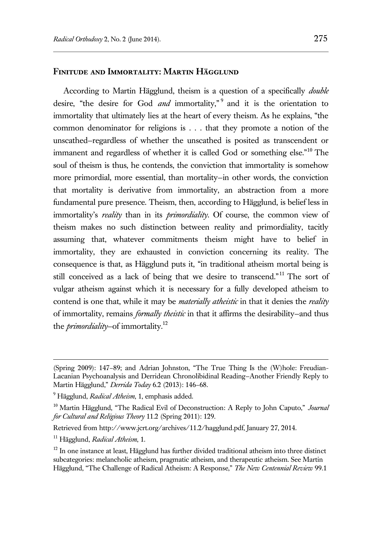## **Finitude and Immortality: Martin Hägglund**

According to Martin Hägglund, theism is a question of a specifically *double* desire, "the desire for God *and* immortality," and it is the orientation to immortality that ultimately lies at the heart of every theism. As he explains, "the common denominator for religions is . . . that they promote a notion of the unscathed—regardless of whether the unscathed is posited as transcendent or immanent and regardless of whether it is called God or something else."<sup>10</sup> The soul of theism is thus, he contends, the conviction that immortality is somehow more primordial, more essential, than mortality—in other words, the conviction that mortality is derivative from immortality, an abstraction from a more fundamental pure presence. Theism, then, according to Hägglund, is belief less in immortality's *reality* than in its *primordiality*. Of course, the common view of theism makes no such distinction between reality and primordiality, tacitly assuming that, whatever commitments theism might have to belief in immortality, they are exhausted in conviction concerning its reality. The consequence is that, as Hägglund puts it, "in traditional atheism mortal being is still conceived as a lack of being that we desire to transcend."<sup>11</sup> The sort of vulgar atheism against which it is necessary for a fully developed atheism to contend is one that, while it may be *materially atheistic* in that it denies the *reality* of immortality, remains *formally theistic* in that it affirms the desirability—and thus the *primordiality*—of immortality.<sup>12</sup>

Retrieved from http://www.jcrt.org/archives/11.2/hagglund.pdf, January 27, 2014.

<sup>(</sup>Spring 2009): 147–89; and Adrian Johnston, "The True Thing Is the (W)hole: Freudian-Lacanian Psychoanalysis and Derridean Chronolibidinal Reading—Another Friendly Reply to Martin Hägglund," *Derrida Today* 6.2 (2013): 146–68.

<sup>9</sup> Hägglund, *Radical Atheism*, 1, emphasis added.

<sup>10</sup> Martin Hägglund, "The Radical Evil of Deconstruction: A Reply to John Caputo," *Journal for Cultural and Religious Theory* 11.2 (Spring 2011): 129.

<sup>11</sup> Hägglund, *Radical Atheism*, 1.

<sup>&</sup>lt;sup>12</sup> In one instance at least, Hägglund has further divided traditional atheism into three distinct subcategories: melancholic atheism, pragmatic atheism, and therapeutic atheism. See Martin Hägglund, "The Challenge of Radical Atheism: A Response," *The New Centennial Review* 99.1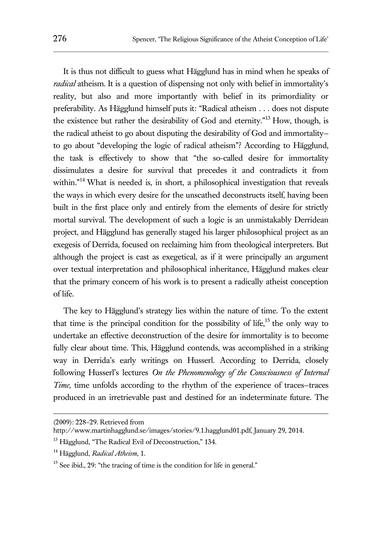It is thus not difficult to guess what Hägglund has in mind when he speaks of *radical* atheism. It is a question of dispensing not only with belief in immortality's reality, but also and more importantly with belief in its primordiality or preferability. As Hägglund himself puts it: "Radical atheism . . . does not dispute the existence but rather the desirability of God and eternity."<sup>13</sup> How, though, is the radical atheist to go about disputing the desirability of God and immortality to go about "developing the logic of radical atheism"? According to Hägglund, the task is effectively to show that "the so-called desire for immortality dissimulates a desire for survival that precedes it and contradicts it from within."<sup>14</sup> What is needed is, in short, a philosophical investigation that reveals the ways in which every desire for the unscathed deconstructs itself, having been built in the first place only and entirely from the elements of desire for strictly mortal survival. The development of such a logic is an unmistakably Derridean project, and Hägglund has generally staged his larger philosophical project as an exegesis of Derrida, focused on reclaiming him from theological interpreters. But although the project is cast as exegetical, as if it were principally an argument over textual interpretation and philosophical inheritance, Hägglund makes clear that the primary concern of his work is to present a radically atheist conception of life.

The key to Hägglund's strategy lies within the nature of time. To the extent that time is the principal condition for the possibility of life,<sup>15</sup> the only way to undertake an effective deconstruction of the desire for immortality is to become fully clear about time. This, Hägglund contends, was accomplished in a striking way in Derrida's early writings on Husserl. According to Derrida, closely following Husserl's lectures *On the Phenomenology of the Consciousness of Internal Time*, time unfolds according to the rhythm of the experience of traces–traces produced in an irretrievable past and destined for an indeterminate future. The

(2009): 228–29. Retrieved from

http://www.martinhagglund.se/images/stories/9.1.hagglund01.pdf, January 29, 2014.

<sup>&</sup>lt;sup>13</sup> Hägglund, "The Radical Evil of Deconstruction," 134.

<sup>14</sup> Hägglund, *Radical Atheism*, 1.

 $15$  See ibid., 29: "the tracing of time is the condition for life in general."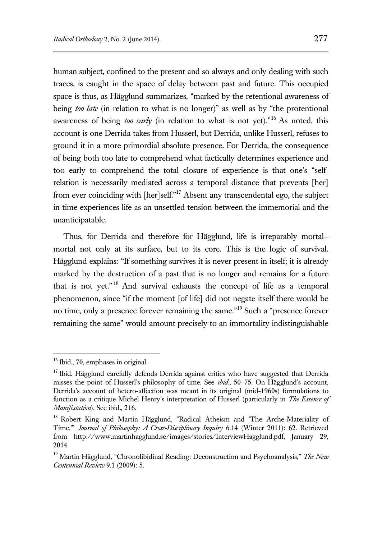human subject, confined to the present and so always and only dealing with such traces, is caught in the space of delay between past and future. This occupied space is thus, as Hägglund summarizes, "marked by the retentional awareness of being *too late* (in relation to what is no longer)" as well as by "the protentional awareness of being *too early* (in relation to what is not yet)."<sup>16</sup> As noted, this account is one Derrida takes from Husserl, but Derrida, unlike Husserl, refuses to ground it in a more primordial absolute presence. For Derrida, the consequence of being both too late to comprehend what factically determines experience and too early to comprehend the total closure of experience is that one's "selfrelation is necessarily mediated across a temporal distance that prevents [her] from ever coinciding with [her]self."<sup>17</sup> Absent any transcendental ego, the subject in time experiences life as an unsettled tension between the immemorial and the unanticipatable.

Thus, for Derrida and therefore for Hägglund, life is irreparably mortal mortal not only at its surface, but to its core. This is the logic of survival. Hägglund explains: "If something survives it is never present in itself; it is already marked by the destruction of a past that is no longer and remains for a future that is not yet." <sup>18</sup> And survival exhausts the concept of life as a temporal phenomenon, since "if the moment [of life] did not negate itself there would be no time, only a presence forever remaining the same."<sup>19</sup> Such a "presence forever remaining the same" would amount precisely to an immortality indistinguishable

<sup>&</sup>lt;sup>16</sup> Ibid., 70, emphases in original.

 $17$  Ibid. Hägglund carefully defends Derrida against critics who have suggested that Derrida misses the point of Husserl's philosophy of time. See *ibid*., 50–75. On Hägglund's account, Derrida's account of hetero-affection was meant in its original (mid-1960s) formulations to function as a critique Michel Henry's interpretation of Husserl (particularly in *The Essence of Manifestation*). See ibid., 216.

<sup>&</sup>lt;sup>18</sup> Robert King and Martin Hägglund, "Radical Atheism and 'The Arche-Materiality of Time,'" *Journal of Philosophy: A Cross-Disciplinary Inquiry* 6.14 (Winter 2011): 62. Retrieved from http://www.martinhagglund.se/images/stories/InterviewHagglund.pdf, January 29, 2014.

<sup>19</sup> Martin Hägglund, "Chronolibidinal Reading: Deconstruction and Psychoanalysis," *The New Centennial Review* 9.1 (2009): 5.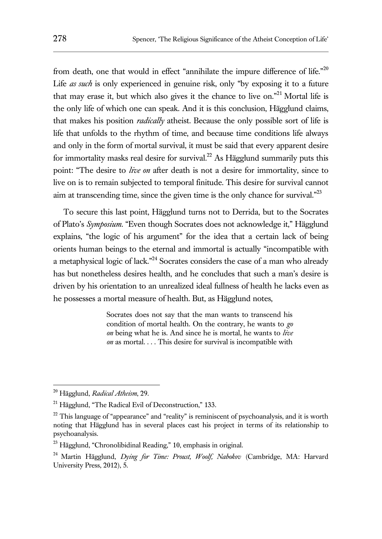from death, one that would in effect "annihilate the impure difference of life."<sup>20</sup> Life *as such* is only experienced in genuine risk, only "by exposing it to a future that may erase it, but which also gives it the chance to live on."<sup>21</sup> Mortal life is the only life of which one can speak. And it is this conclusion, Hägglund claims, that makes his position *radically* atheist. Because the only possible sort of life is life that unfolds to the rhythm of time, and because time conditions life always and only in the form of mortal survival, it must be said that every apparent desire for immortality masks real desire for survival.<sup>22</sup> As Hägglund summarily puts this point: "The desire to *live on* after death is not a desire for immortality, since to live on is to remain subjected to temporal finitude. This desire for survival cannot aim at transcending time, since the given time is the only chance for survival. $^{23}$ 

To secure this last point, Hägglund turns not to Derrida, but to the Socrates of Plato's *Symposium*. "Even though Socrates does not acknowledge it," Hägglund explains, "the logic of his argument" for the idea that a certain lack of being orients human beings to the eternal and immortal is actually "incompatible with a metaphysical logic of lack."<sup>24</sup> Socrates considers the case of a man who already has but nonetheless desires health, and he concludes that such a man's desire is driven by his orientation to an unrealized ideal fullness of health he lacks even as he possesses a mortal measure of health. But, as Hägglund notes,

> Socrates does not say that the man wants to transcend his condition of mortal health. On the contrary, he wants to *go on* being what he is. And since he is mortal, he wants to *live on* as mortal. . . . This desire for survival is incompatible with

<sup>20</sup> Hägglund, *Radical Atheism*, 29.

<sup>&</sup>lt;sup>21</sup> Hägglund, "The Radical Evil of Deconstruction," 133.

<sup>&</sup>lt;sup>22</sup> This language of "appearance" and "reality" is reminiscent of psychoanalysis, and it is worth noting that Hägglund has in several places cast his project in terms of its relationship to psychoanalysis.

<sup>23</sup> Hägglund, "Chronolibidinal Reading," 10, emphasis in original.

<sup>24</sup> Martin Hägglund, *Dying for Time: Proust, Woolf, Nabokov* (Cambridge, MA: Harvard University Press, 2012), 5.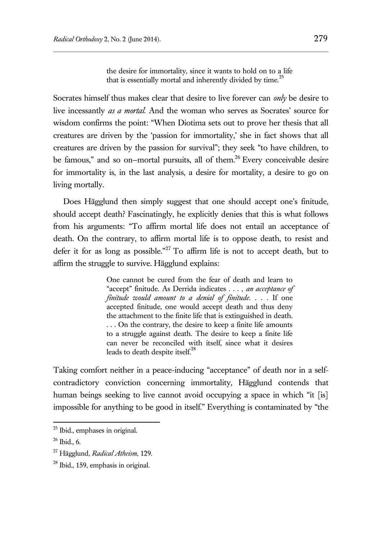the desire for immortality, since it wants to hold on to a life that is essentially mortal and inherently divided by time. $^{25}$ 

Socrates himself thus makes clear that desire to live forever can *only* be desire to live incessantly *as a mortal*. And the woman who serves as Socrates' source for wisdom confirms the point: "When Diotima sets out to prove her thesis that all creatures are driven by the 'passion for immortality,' she in fact shows that all creatures are driven by the passion for survival"; they seek "to have children, to be famous," and so on–mortal pursuits, all of them.<sup>26</sup> Every conceivable desire for immortality is, in the last analysis, a desire for mortality, a desire to go on living mortally.

Does Hägglund then simply suggest that one should accept one's finitude, should accept death? Fascinatingly, he explicitly denies that this is what follows from his arguments: "To affirm mortal life does not entail an acceptance of death. On the contrary, to affirm mortal life is to oppose death, to resist and defer it for as long as possible."<sup>27</sup> To affirm life is not to accept death, but to affirm the struggle to survive. Hägglund explains:

> One cannot be cured from the fear of death and learn to "accept" finitude. As Derrida indicates . . . , *an acceptance of finitude would amount to a denial of finitude*. . . . If one accepted finitude, one would accept death and thus deny the attachment to the finite life that is extinguished in death. . . . On the contrary, the desire to keep a finite life amounts to a struggle against death. The desire to keep a finite life can never be reconciled with itself, since what it desires leads to death despite itself.<sup>28</sup>

Taking comfort neither in a peace-inducing "acceptance" of death nor in a selfcontradictory conviction concerning immortality, Hägglund contends that human beings seeking to live cannot avoid occupying a space in which "it [is] impossible for anything to be good in itself." Everything is contaminated by "the

<sup>25</sup> Ibid., emphases in original.

 $26$  Ibid., 6.

<sup>27</sup> Hägglund, *Radical Atheism*, 129.

<sup>&</sup>lt;sup>28</sup> Ibid., 159, emphasis in original.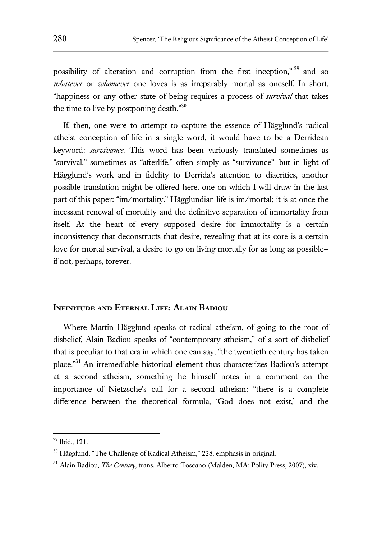possibility of alteration and corruption from the first inception," <sup>29</sup> and so *whatever* or *whomever* one loves is as irreparably mortal as oneself. In short, "happiness or any other state of being requires a process of *survival* that takes the time to live by postponing death. $^{30}$ 

If, then, one were to attempt to capture the essence of Hägglund's radical atheist conception of life in a single word, it would have to be a Derridean keyword: *survivance*. This word has been variously translated—sometimes as "survival," sometimes as "afterlife," often simply as "survivance"—but in light of Hägglund's work and in fidelity to Derrida's attention to diacritics, another possible translation might be offered here, one on which I will draw in the last part of this paper: "im/mortality." Hägglundian life is im/mortal; it is at once the incessant renewal of mortality and the definitive separation of immortality from itself. At the heart of every supposed desire for immortality is a certain inconsistency that deconstructs that desire, revealing that at its core is a certain love for mortal survival, a desire to go on living mortally for as long as possible if not, perhaps, forever.

## **Infinitude and Eternal Life: Alain Badiou**

Where Martin Hägglund speaks of radical atheism, of going to the root of disbelief, Alain Badiou speaks of "contemporary atheism," of a sort of disbelief that is peculiar to that era in which one can say, "the twentieth century has taken place." <sup>31</sup> An irremediable historical element thus characterizes Badiou's attempt at a second atheism, something he himself notes in a comment on the importance of Nietzsche's call for a second atheism: "there is a complete difference between the theoretical formula, 'God does not exist,' and the

 $29$  Ibid., 121.

<sup>&</sup>lt;sup>30</sup> Hägglund, "The Challenge of Radical Atheism," 228, emphasis in original.

<sup>&</sup>lt;sup>31</sup> Alain Badiou, *The Century*, trans. Alberto Toscano (Malden, MA: Polity Press, 2007), xiv.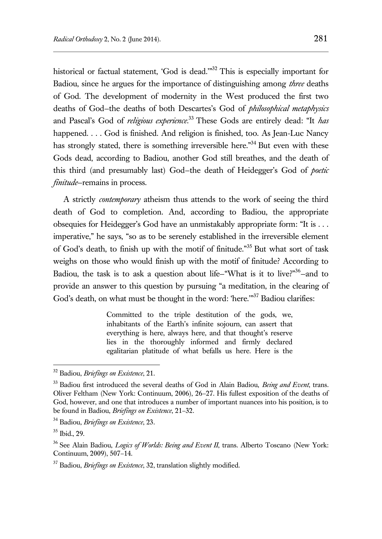historical or factual statement, 'God is dead."<sup>32</sup> This is especially important for Badiou, since he argues for the importance of distinguishing among *three* deaths of God. The development of modernity in the West produced the first two deaths of God—the deaths of both Descartes's God of *philosophical metaphysics* and Pascal's God of *religious experience*. <sup>33</sup> These Gods are entirely dead: "It *has* happened. . . . God is finished. And religion is finished, too. As Jean-Luc Nancy has strongly stated, there is something irreversible here.<sup>34</sup> But even with these Gods dead, according to Badiou, another God still breathes, and the death of this third (and presumably last) God—the death of Heidegger's God of *poetic finitude*—remains in process.

A strictly *contemporary* atheism thus attends to the work of seeing the third death of God to completion. And, according to Badiou, the appropriate obsequies for Heidegger's God have an unmistakably appropriate form: "It is . . . imperative," he says, "so as to be serenely established in the irreversible element of God's death, to finish up with the motif of finitude."<sup>35</sup> But what sort of task weighs on those who would finish up with the motif of finitude? According to Badiou, the task is to ask a question about life–"What is it to live?"<sup>36</sup>-and to provide an answer to this question by pursuing "a meditation, in the clearing of God's death, on what must be thought in the word: 'here."<sup>37</sup> Badiou clarifies:

> Committed to the triple destitution of the gods, we, inhabitants of the Earth's infinite sojourn, can assert that everything is here, always here, and that thought's reserve lies in the thoroughly informed and firmly declared egalitarian platitude of what befalls us here. Here is the

<sup>32</sup> Badiou, *Briefings on Existence*, 21.

<sup>33</sup> Badiou first introduced the several deaths of God in Alain Badiou, *Being and Event*, trans. Oliver Feltham (New York: Continuum, 2006), 26–27. His fullest exposition of the deaths of God, however, and one that introduces a number of important nuances into his position, is to be found in Badiou, *Briefings on Existence*, 21–32.

<sup>34</sup> Badiou, *Briefings on Existence*, 23.

<sup>35</sup> Ibid., 29.

<sup>&</sup>lt;sup>36</sup> See Alain Badiou, *Logics of Worlds: Being and Event II*, trans. Alberto Toscano (New York: Continuum, 2009), 507–14.

<sup>37</sup> Badiou, *Briefings on Existence*, 32, translation slightly modified.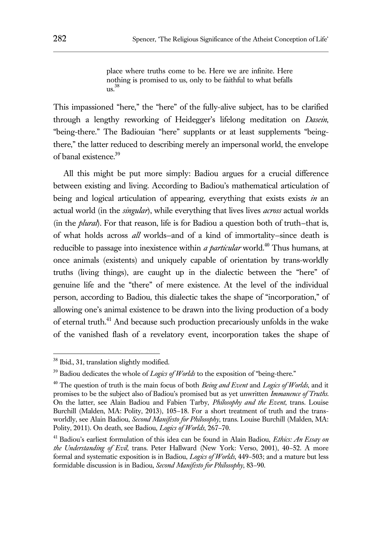place where truths come to be. Here we are infinite. Here nothing is promised to us, only to be faithful to what befalls us. 38

This impassioned "here," the "here" of the fully-alive subject, has to be clarified through a lengthy reworking of Heidegger's lifelong meditation on *Dasein*, "being-there." The Badiouian "here" supplants or at least supplements "beingthere," the latter reduced to describing merely an impersonal world, the envelope of banal existence.<sup>39</sup>

All this might be put more simply: Badiou argues for a crucial difference between existing and living. According to Badiou's mathematical articulation of being and logical articulation of appearing, everything that exists exists *in* an actual world (in the *singular*), while everything that lives lives *across* actual worlds (in the *plural*). For that reason, life is for Badiou a question both of truth—that is, of what holds across *all* worlds—and of a kind of immortality—since death is reducible to passage into inexistence within *a particular* world.<sup>40</sup> Thus humans, at once animals (existents) and uniquely capable of orientation by trans-worldly truths (living things), are caught up in the dialectic between the "here" of genuine life and the "there" of mere existence. At the level of the individual person, according to Badiou, this dialectic takes the shape of "incorporation," of allowing one's animal existence to be drawn into the living production of a body of eternal truth.<sup>41</sup> And because such production precariously unfolds in the wake of the vanished flash of a revelatory event, incorporation takes the shape of

<sup>&</sup>lt;sup>38</sup> Ibid., 31, translation slightly modified.

<sup>&</sup>lt;sup>39</sup> Badiou dedicates the whole of *Logics of Worlds* to the exposition of "being-there."

<sup>40</sup> The question of truth is the main focus of both *Being and Event* and *Logics of Worlds*, and it promises to be the subject also of Badiou's promised but as yet unwritten *Immanence of Truths*. On the latter, see Alain Badiou and Fabien Tarby, *Philosophy and the Event*, trans. Louise Burchill (Malden, MA: Polity, 2013), 105–18. For a short treatment of truth and the transworldly, see Alain Badiou, *Second Manifesto for Philosophy*, trans. Louise Burchill (Malden, MA: Polity, 2011). On death, see Badiou, *Logics of Worlds*, 267–70.

<sup>41</sup> Badiou's earliest formulation of this idea can be found in Alain Badiou, *Ethics: An Essay on the Understanding of Evil*, trans. Peter Hallward (New York: Verso, 2001), 40–52. A more formal and systematic exposition is in Badiou, *Logics of Worlds*, 449–503; and a mature but less formidable discussion is in Badiou, *Second Manifesto for Philosophy*, 83–90.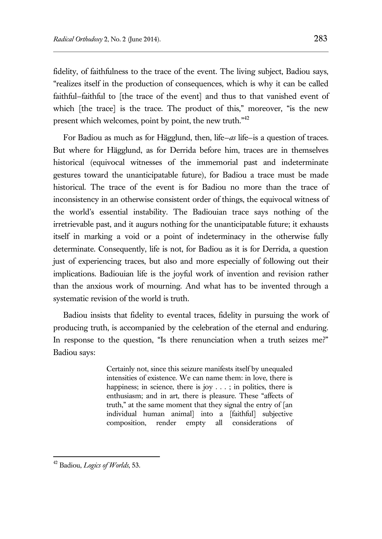fidelity, of faithfulness to the trace of the event. The living subject, Badiou says, "realizes itself in the production of consequences, which is why it can be called faithful—faithful to [the trace of the event] and thus to that vanished event of which [the trace] is the trace. The product of this," moreover, "is the new present which welcomes, point by point, the new truth."<sup>42</sup>

For Badiou as much as for Hägglund, then, life—*as* life—is a question of traces. But where for Hägglund, as for Derrida before him, traces are in themselves historical (equivocal witnesses of the immemorial past and indeterminate gestures toward the unanticipatable future), for Badiou a trace must be made historical. The trace of the event is for Badiou no more than the trace of inconsistency in an otherwise consistent order of things, the equivocal witness of the world's essential instability. The Badiouian trace says nothing of the irretrievable past, and it augurs nothing for the unanticipatable future; it exhausts itself in marking a void or a point of indeterminacy in the otherwise fully determinate. Consequently, life is not, for Badiou as it is for Derrida, a question just of experiencing traces, but also and more especially of following out their implications. Badiouian life is the joyful work of invention and revision rather than the anxious work of mourning. And what has to be invented through a systematic revision of the world is truth.

Badiou insists that fidelity to evental traces, fidelity in pursuing the work of producing truth, is accompanied by the celebration of the eternal and enduring. In response to the question, "Is there renunciation when a truth seizes me?" Badiou says:

> Certainly not, since this seizure manifests itself by unequaled intensities of existence. We can name them: in love, there is happiness; in science, there is joy  $\dots$ ; in politics, there is enthusiasm; and in art, there is pleasure. These "affects of truth," at the same moment that they signal the entry of [an individual human animal] into a [faithful] subjective composition, render empty all considerations of

<sup>42</sup> Badiou, *Logics of Worlds*, 53.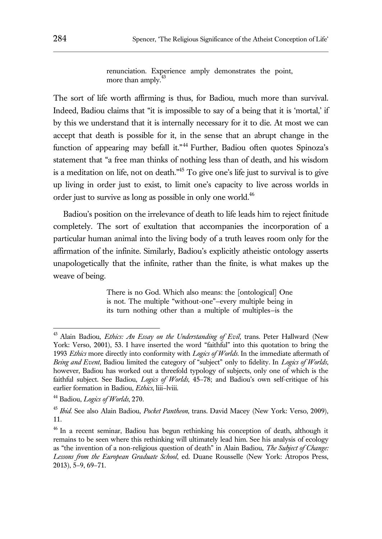renunciation. Experience amply demonstrates the point, more than amply. $43$ 

The sort of life worth affirming is thus, for Badiou, much more than survival. Indeed, Badiou claims that "it is impossible to say of a being that it is 'mortal,' if by this we understand that it is internally necessary for it to die. At most we can accept that death is possible for it, in the sense that an abrupt change in the function of appearing may befall it."<sup>44</sup> Further, Badiou often quotes Spinoza's statement that "a free man thinks of nothing less than of death, and his wisdom is a meditation on life, not on death. $1/15$  To give one's life just to survival is to give up living in order just to exist, to limit one's capacity to live across worlds in order just to survive as long as possible in only one world.<sup>46</sup>

Badiou's position on the irrelevance of death to life leads him to reject finitude completely. The sort of exultation that accompanies the incorporation of a particular human animal into the living body of a truth leaves room only for the affirmation of the infinite. Similarly, Badiou's explicitly atheistic ontology asserts unapologetically that the infinite, rather than the finite, is what makes up the weave of being.

> There is no God. Which also means: the [ontological] One is not. The multiple "without-one"—every multiple being in its turn nothing other than a multiple of multiples—is the

<sup>43</sup> Alain Badiou, *Ethics: An Essay on the Understanding of Evil*, trans. Peter Hallward (New York: Verso, 2001), 53. I have inserted the word "faithful" into this quotation to bring the 1993 *Ethics* more directly into conformity with *Logics of Worlds*. In the immediate aftermath of *Being and Event*, Badiou limited the category of "subject" only to fidelity. In *Logics of Worlds*, however, Badiou has worked out a threefold typology of subjects, only one of which is the faithful subject. See Badiou, *Logics of Worlds*, 45–78; and Badiou's own self-critique of his earlier formation in Badiou, *Ethics*, liii–lviii.

<sup>44</sup> Badiou, *Logics of Worlds*, 270.

<sup>45</sup> *Ibid*. See also Alain Badiou, *Pocket Pantheon*, trans. David Macey (New York: Verso, 2009), 11.

<sup>&</sup>lt;sup>46</sup> In a recent seminar, Badiou has begun rethinking his conception of death, although it remains to be seen where this rethinking will ultimately lead him. See his analysis of ecology as "the invention of a non-religious question of death" in Alain Badiou, *The Subject of Change: Lessons from the European Graduate School*, ed. Duane Rousselle (New York: Atropos Press, 2013), 5–9, 69–71.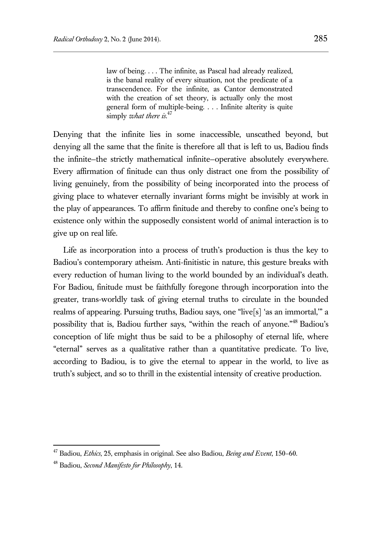law of being. . . . The infinite, as Pascal had already realized, is the banal reality of every situation, not the predicate of a transcendence. For the infinite, as Cantor demonstrated with the creation of set theory, is actually only the most general form of multiple-being. . . . Infinite alterity is quite simply *what there is*. 47

Denying that the infinite lies in some inaccessible, unscathed beyond, but denying all the same that the finite is therefore all that is left to us, Badiou finds the infinite—the strictly mathematical infinite—operative absolutely everywhere. Every affirmation of finitude can thus only distract one from the possibility of living genuinely, from the possibility of being incorporated into the process of giving place to whatever eternally invariant forms might be invisibly at work in the play of appearances. To affirm finitude and thereby to confine one's being to existence only within the supposedly consistent world of animal interaction is to give up on real life.

Life as incorporation into a process of truth's production is thus the key to Badiou's contemporary atheism. Anti-finitistic in nature, this gesture breaks with every reduction of human living to the world bounded by an individual's death. For Badiou, finitude must be faithfully foregone through incorporation into the greater, trans-worldly task of giving eternal truths to circulate in the bounded realms of appearing. Pursuing truths, Badiou says, one "live[s] 'as an immortal,'" a possibility that is, Badiou further says, "within the reach of anyone."<sup>48</sup> Badiou's conception of life might thus be said to be a philosophy of eternal life, where "eternal" serves as a qualitative rather than a quantitative predicate. To live, according to Badiou, is to give the eternal to appear in the world, to live as truth's subject, and so to thrill in the existential intensity of creative production.

<sup>47</sup> Badiou, *Ethics*, 25, emphasis in original. See also Badiou, *Being and Event*, 150–60.

<sup>48</sup> Badiou, *Second Manifesto for Philosophy*, 14.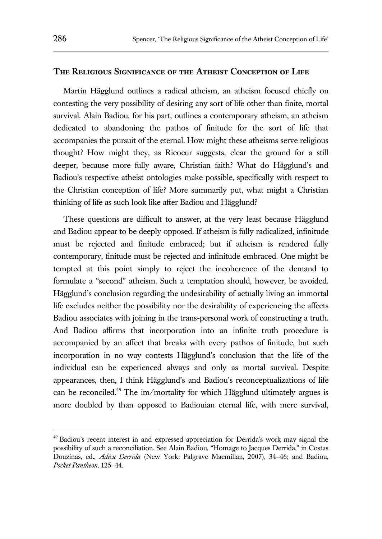## **The Religious Significance of the Atheist Conception of Life**

Martin Hägglund outlines a radical atheism, an atheism focused chiefly on contesting the very possibility of desiring any sort of life other than finite, mortal survival. Alain Badiou, for his part, outlines a contemporary atheism, an atheism dedicated to abandoning the pathos of finitude for the sort of life that accompanies the pursuit of the eternal. How might these atheisms serve religious thought? How might they, as Ricoeur suggests, clear the ground for a still deeper, because more fully aware, Christian faith? What do Hägglund's and Badiou's respective atheist ontologies make possible, specifically with respect to the Christian conception of life? More summarily put, what might a Christian thinking of life as such look like after Badiou and Hägglund?

These questions are difficult to answer, at the very least because Hägglund and Badiou appear to be deeply opposed. If atheism is fully radicalized, infinitude must be rejected and finitude embraced; but if atheism is rendered fully contemporary, finitude must be rejected and infinitude embraced. One might be tempted at this point simply to reject the incoherence of the demand to formulate a "second" atheism. Such a temptation should, however, be avoided. Hägglund's conclusion regarding the undesirability of actually living an immortal life excludes neither the possibility nor the desirability of experiencing the affects Badiou associates with joining in the trans-personal work of constructing a truth. And Badiou affirms that incorporation into an infinite truth procedure is accompanied by an affect that breaks with every pathos of finitude, but such incorporation in no way contests Hägglund's conclusion that the life of the individual can be experienced always and only as mortal survival. Despite appearances, then, I think Hägglund's and Badiou's reconceptualizations of life can be reconciled.<sup>49</sup> The im/mortality for which Hägglund ultimately argues is more doubled by than opposed to Badiouian eternal life, with mere survival,

<sup>&</sup>lt;sup>49</sup> Badiou's recent interest in and expressed appreciation for Derrida's work may signal the possibility of such a reconciliation. See Alain Badiou, "Homage to Jacques Derrida," in Costas Douzinas, ed., *Adieu Derrida* (New York: Palgrave Macmillan, 2007), 34–46; and Badiou, *Pocket Pantheon*, 125–44.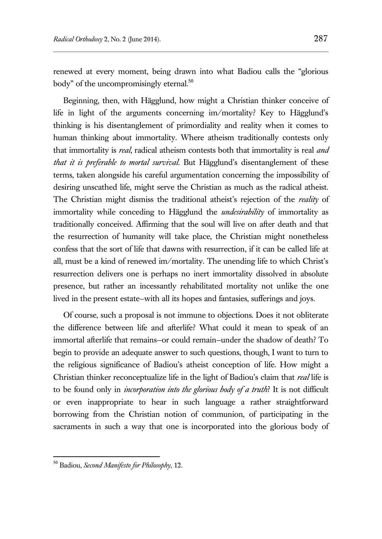renewed at every moment, being drawn into what Badiou calls the "glorious body" of the uncompromisingly eternal.<sup>50</sup>

Beginning, then, with Hägglund, how might a Christian thinker conceive of life in light of the arguments concerning im/mortality? Key to Hägglund's thinking is his disentanglement of primordiality and reality when it comes to human thinking about immortality. Where atheism traditionally contests only that immortality is *real*, radical atheism contests both that immortality is real *and that it is preferable to mortal survival*. But Hägglund's disentanglement of these terms, taken alongside his careful argumentation concerning the impossibility of desiring unscathed life, might serve the Christian as much as the radical atheist. The Christian might dismiss the traditional atheist's rejection of the *reality* of immortality while conceding to Hägglund the *undesirability* of immortality as traditionally conceived. Affirming that the soul will live on after death and that the resurrection of humanity will take place, the Christian might nonetheless confess that the sort of life that dawns with resurrection, if it can be called life at all, must be a kind of renewed im/mortality. The unending life to which Christ's resurrection delivers one is perhaps no inert immortality dissolved in absolute presence, but rather an incessantly rehabilitated mortality not unlike the one lived in the present estate—with all its hopes and fantasies, sufferings and joys.

Of course, such a proposal is not immune to objections. Does it not obliterate the difference between life and afterlife? What could it mean to speak of an immortal afterlife that remains—or could remain—under the shadow of death? To begin to provide an adequate answer to such questions, though, I want to turn to the religious significance of Badiou's atheist conception of life. How might a Christian thinker reconceptualize life in the light of Badiou's claim that *real* life is to be found only in *incorporation into the glorious body of a truth*? It is not difficult or even inappropriate to hear in such language a rather straightforward borrowing from the Christian notion of communion, of participating in the sacraments in such a way that one is incorporated into the glorious body of

<sup>50</sup> Badiou, *Second Manifesto for Philosophy*, 12.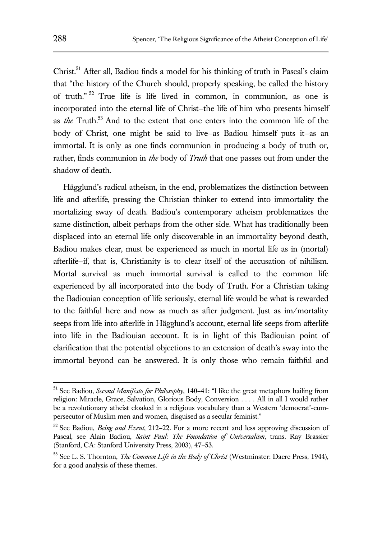Christ.<sup>51</sup> After all, Badiou finds a model for his thinking of truth in Pascal's claim that "the history of the Church should, properly speaking, be called the history of truth." <sup>52</sup> True life is life lived in common, in communion, as one is incorporated into the eternal life of Christ—the life of him who presents himself as *the* Truth.<sup>53</sup> And to the extent that one enters into the common life of the body of Christ, one might be said to live—as Badiou himself puts it—as an immortal. It is only as one finds communion in producing a body of truth or, rather, finds communion in *the* body of *Truth* that one passes out from under the shadow of death.

Hägglund's radical atheism, in the end, problematizes the distinction between life and afterlife, pressing the Christian thinker to extend into immortality the mortalizing sway of death. Badiou's contemporary atheism problematizes the same distinction, albeit perhaps from the other side. What has traditionally been displaced into an eternal life only discoverable in an immortality beyond death, Badiou makes clear, must be experienced as much in mortal life as in (mortal) afterlife—if, that is, Christianity is to clear itself of the accusation of nihilism. Mortal survival as much immortal survival is called to the common life experienced by all incorporated into the body of Truth. For a Christian taking the Badiouian conception of life seriously, eternal life would be what is rewarded to the faithful here and now as much as after judgment. Just as im/mortality seeps from life into afterlife in Hägglund's account, eternal life seeps from afterlife into life in the Badiouian account. It is in light of this Badiouian point of clarification that the potential objections to an extension of death's sway into the immortal beyond can be answered. It is only those who remain faithful and

<sup>51</sup> See Badiou, *Second Manifesto for Philosophy*, 140–41: "I like the great metaphors hailing from religion: Miracle, Grace, Salvation, Glorious Body, Conversion . . . . All in all I would rather be a revolutionary atheist cloaked in a religious vocabulary than a Western 'democrat'-cumpersecutor of Muslim men and women, disguised as a secular feminist."

<sup>52</sup> See Badiou, *Being and Event*, 212–22. For a more recent and less approving discussion of Pascal, see Alain Badiou, *Saint Paul: The Foundation of Universalism*, trans. Ray Brassier (Stanford, CA: Stanford University Press, 2003), 47–53.

<sup>53</sup> See L. S. Thornton, *The Common Life in the Body of Christ* (Westminster: Dacre Press, 1944), for a good analysis of these themes.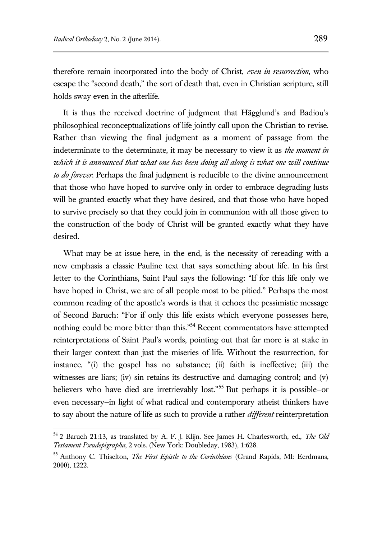$\overline{a}$ 

therefore remain incorporated into the body of Christ, *even in resurrection*, who escape the "second death," the sort of death that, even in Christian scripture, still holds sway even in the afterlife.

It is thus the received doctrine of judgment that Hägglund's and Badiou's philosophical reconceptualizations of life jointly call upon the Christian to revise. Rather than viewing the final judgment as a moment of passage from the indeterminate to the determinate, it may be necessary to view it as *the moment in which it is announced that what one has been doing all along is what one will continue to do forever*. Perhaps the final judgment is reducible to the divine announcement that those who have hoped to survive only in order to embrace degrading lusts will be granted exactly what they have desired, and that those who have hoped to survive precisely so that they could join in communion with all those given to the construction of the body of Christ will be granted exactly what they have desired.

What may be at issue here, in the end, is the necessity of rereading with a new emphasis a classic Pauline text that says something about life. In his first letter to the Corinthians, Saint Paul says the following: "If for this life only we have hoped in Christ, we are of all people most to be pitied." Perhaps the most common reading of the apostle's words is that it echoes the pessimistic message of Second Baruch: "For if only this life exists which everyone possesses here, nothing could be more bitter than this."<sup>54</sup> Recent commentators have attempted reinterpretations of Saint Paul's words, pointing out that far more is at stake in their larger context than just the miseries of life. Without the resurrection, for instance, "(i) the gospel has no substance; (ii) faith is ineffective; (iii) the witnesses are liars; (iv) sin retains its destructive and damaging control; and (v) believers who have died are irretrievably lost."<sup>55</sup> But perhaps it is possible—or even necessary—in light of what radical and contemporary atheist thinkers have to say about the nature of life as such to provide a rather *different* reinterpretation

<sup>54</sup> 2 Baruch 21:13, as translated by A. F. J. Klijn. See James H. Charlesworth, ed., *The Old Testament Pseudepigrapha*, 2 vols. (New York: Doubleday, 1983), 1:628.

<sup>55</sup> Anthony C. Thiselton, *The First Epistle to the Corinthians* (Grand Rapids, MI: Eerdmans, 2000), 1222.